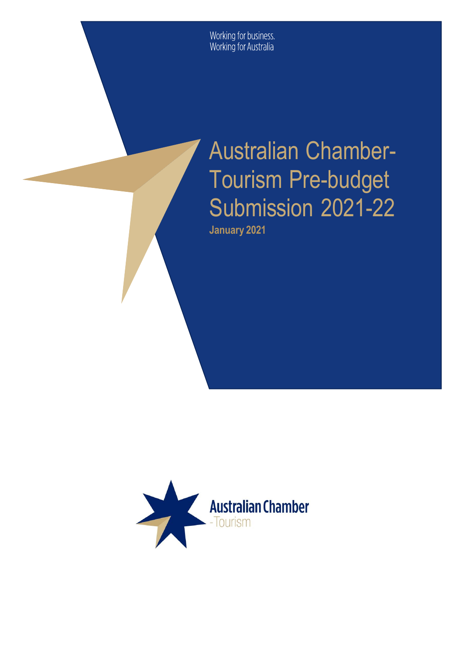Working for business.<br>Working for Australia

# Australian Chamber-Tourism Pre-budget Submission 2021-22 **January 2021**

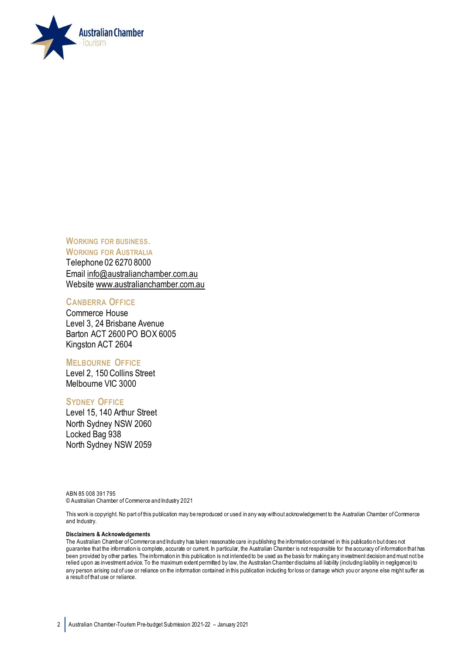

**WORKING FOR BUSINESS. WORKING FOR AUSTRALIA** 

Telephone 02 6270 8000 Email [info@australianchamber.com.au](mailto:info@australianchamber.com.au) Website [www.australianchamber.com.au](http://www.australianchamber.com.au/) 

#### **CANBERRA OFFICE**

Commerce House Level 3, 24 Brisbane Avenue Barton ACT 2600 PO BOX 6005 Kingston ACT 2604

#### **MELBOURNE OFFICE**

Level 2, 150 Collins Street Melbourne VIC 3000

#### **SYDNEY OFFICE**

Level 15, 140 Arthur Street North Sydney NSW 2060 Locked Bag 938 North Sydney NSW 2059

ABN 85 008 391 795 © Australian Chamber of Commerce and Industry 2021

This work is copyright. No part of this publication may be reproduced or used in any way without acknowledgement to the Australian Chamber of Commerce and Industry.

#### **Disclaimers & Acknowledgements**

The Australian Chamber of Commerce and Industry has taken reasonable care in publishing the information contained in this publicatio n but does not guarantee that the information is complete, accurate or current. In particular, the Australian Chamber is not responsible for the accuracy of information that has been provided by other parties. The information in this publication is not intended to be used as the basis for making any investment decision and must not be relied upon as investment advice. To the maximum extent permitted by law, the Australian Chamber disclaims all liability (including liability in negligence) to any person arising out of use or reliance on the information contained in this publication including for loss or damage which you or anyone else might suffer as a result of that use or reliance.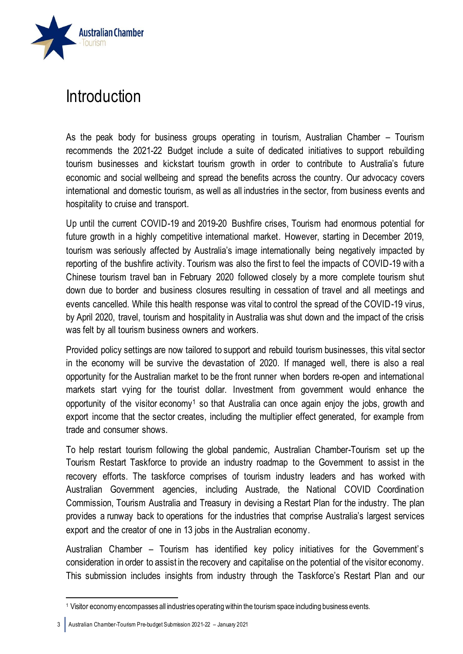

#### Introduction

As the peak body for business groups operating in tourism, Australian Chamber – Tourism recommends the 2021-22 Budget include a suite of dedicated initiatives to support rebuilding tourism businesses and kickstart tourism growth in order to contribute to Australia's future economic and social wellbeing and spread the benefits across the country. Our advocacy covers international and domestic tourism, as well as all industries in the sector, from business events and hospitality to cruise and transport.

Up until the current COVID-19 and 2019-20 Bushfire crises, Tourism had enormous potential for future growth in a highly competitive international market. However, starting in December 2019, tourism was seriously affected by Australia's image internationally being negatively impacted by reporting of the bushfire activity. Tourism was also the first to feel the impacts of COVID-19 with a Chinese tourism travel ban in February 2020 followed closely by a more complete tourism shut down due to border and business closures resulting in cessation of travel and all meetings and events cancelled. While this health response was vital to control the spread of the COVID-19 virus, by April 2020, travel, tourism and hospitality in Australia was shut down and the impact of the crisis was felt by all tourism business owners and workers.

Provided policy settings are now tailored to support and rebuild tourism businesses, this vital sector in the economy will be survive the devastation of 2020. If managed well, there is also a real opportunity for the Australian market to be the front runner when borders re-open and international markets start vying for the tourist dollar. Investment from government would enhance the opportunity of the visitor economy<sup>1</sup> so that Australia can once again enjoy the jobs, growth and export income that the sector creates, including the multiplier effect generated, for example from trade and consumer shows.

To help restart tourism following the global pandemic, Australian Chamber-Tourism set up the Tourism Restart Taskforce to provide an industry roadmap to the Government to assist in the recovery efforts. The taskforce comprises of tourism industry leaders and has worked with Australian Government agencies, including Austrade, the National COVID Coordination Commission, Tourism Australia and Treasury in devising a Restart Plan for the industry. The plan provides a runway back to operations for the industries that comprise Australia's largest services export and the creator of one in 13 jobs in the Australian economy.

Australian Chamber – Tourism has identified key policy initiatives for the Government's consideration in order to assist in the recovery and capitalise on the potential of the visitor economy. This submission includes insights from industry through the Taskforce's Restart Plan and our

<sup>1</sup> Visitor economy encompasses all industries operating within the tourism space including business events.

<sup>3</sup> Australian Chamber-Tourism Pre-budget Submission 2021-22 – January 2021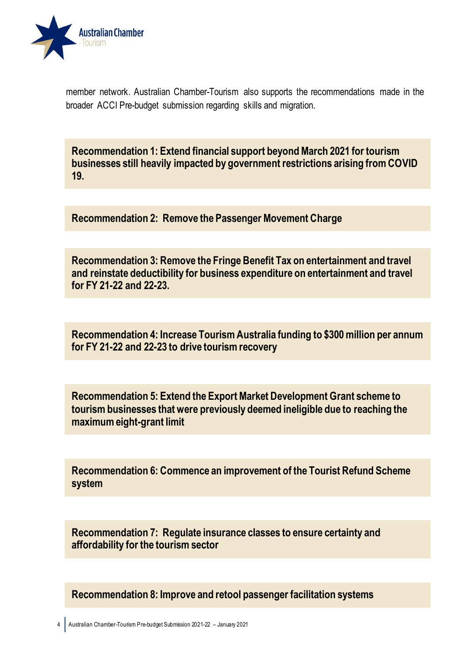

member network. Australian Chamber-Tourism also supports the recommendations made in the broader ACCI Pre-budget submission regarding skills and migration.

**Recommendation 1: Extend financial support beyond March 2021 for tourism businesses still heavily impacted by government restrictions arising from COVID 19.**

**Recommendation 2: Remove the Passenger Movement Charge**

**Recommendation 3: Remove the Fringe Benefit Tax on entertainment and travel and reinstate deductibility for business expenditure on entertainment and travel for FY 21-22 and 22-23.**

**Recommendation 4: Increase Tourism Australia funding to \$300 million per annum for FY 21-22 and 22-23 to drive tourism recovery**

**Recommendation 5: Extend the Export Market Development Grant scheme to tourism businesses that were previously deemed ineligible due to reaching the maximum eight-grant limit**

**Recommendation 6: Commence an improvement of the Tourist Refund Scheme system**

**Recommendation 7: Regulate insurance classes to ensure certainty and affordability for the tourism sector**

**Recommendation 8: Improve and retool passenger facilitation systems**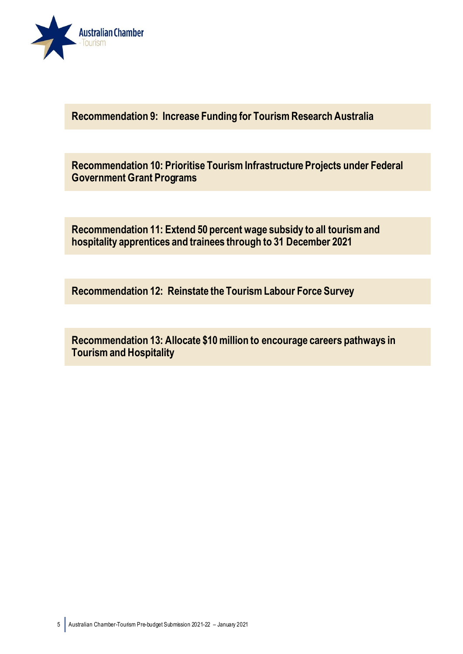

**Recommendation 9: Increase Funding for Tourism Research Australia**

**Recommendation 10: Prioritise Tourism Infrastructure Projects under Federal Government Grant Programs**

**Recommendation 11: Extend 50 percent wage subsidy to all tourism and hospitality apprentices and trainees through to 31 December 2021**

**Recommendation 12: Reinstate the Tourism Labour Force Survey**

**Recommendation 13: Allocate \$10 million to encourage careers pathways in Tourism and Hospitality**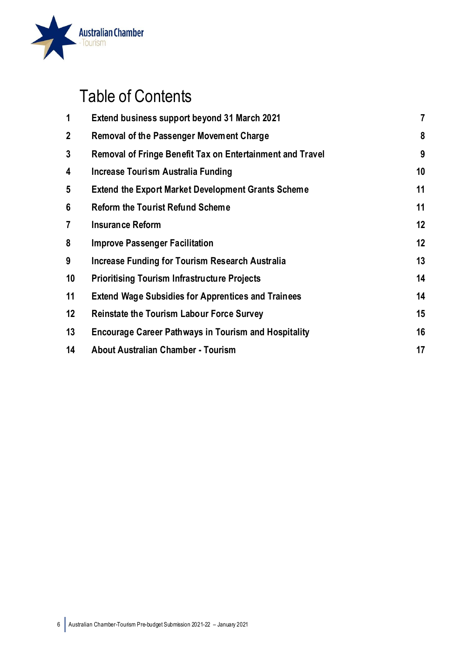

## Table of Contents

| 1            | Extend business support beyond 31 March 2021                     | $\overline{7}$ |
|--------------|------------------------------------------------------------------|----------------|
| $\mathbf{2}$ | Removal of the Passenger Movement Charge                         | 8              |
| 3            | <b>Removal of Fringe Benefit Tax on Entertainment and Travel</b> | 9              |
| 4            | Increase Tourism Australia Funding                               | 10             |
| 5            | <b>Extend the Export Market Development Grants Scheme</b>        | 11             |
| 6            | <b>Reform the Tourist Refund Scheme</b>                          | 11             |
| 7            | <b>Insurance Reform</b>                                          | 12             |
| 8            | <b>Improve Passenger Facilitation</b>                            | 12             |
| 9            | Increase Funding for Tourism Research Australia                  | 13             |
| 10           | <b>Prioritising Tourism Infrastructure Projects</b>              | 14             |
| 11           | <b>Extend Wage Subsidies for Apprentices and Trainees</b>        | 14             |
| 12           | <b>Reinstate the Tourism Labour Force Survey</b>                 | 15             |
| 13           | <b>Encourage Career Pathways in Tourism and Hospitality</b>      | 16             |
| 14           | <b>About Australian Chamber - Tourism</b>                        | 17             |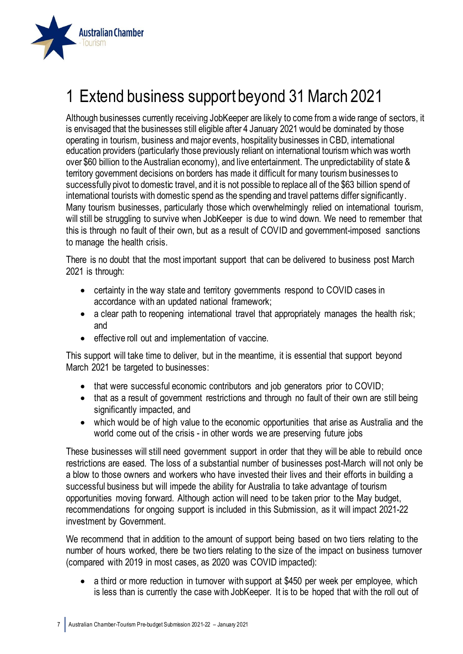

## <span id="page-6-0"></span>1 Extend business support beyond 31 March 2021

Although businesses currently receiving JobKeeper are likely to come from a wide range of sectors, it is envisaged that the businesses still eligible after 4 January 2021 would be dominated by those operating in tourism, business and major events, hospitality businesses in CBD, international education providers (particularly those previously reliant on international tourism which was worth over \$60 billion to the Australian economy), and live entertainment. The unpredictability of state & territory government decisions on borders has made it difficult for many tourism businesses to successfully pivot to domestic travel, and it is not possible to replace all of the \$63 billion spend of international tourists with domestic spend as the spending and travel patterns differ significantly. Many tourism businesses, particularly those which overwhelmingly relied on international tourism, will still be struggling to survive when JobKeeper is due to wind down. We need to remember that this is through no fault of their own, but as a result of COVID and government-imposed sanctions to manage the health crisis.

There is no doubt that the most important support that can be delivered to business post March 2021 is through:

- certainty in the way state and territory governments respond to COVID cases in accordance with an updated national framework;
- a clear path to reopening international travel that appropriately manages the health risk; and
- effective roll out and implementation of vaccine.

This support will take time to deliver, but in the meantime, it is essential that support beyond March 2021 be targeted to businesses:

- that were successful economic contributors and job generators prior to COVID;
- that as a result of government restrictions and through no fault of their own are still being significantly impacted, and
- which would be of high value to the economic opportunities that arise as Australia and the world come out of the crisis - in other words we are preserving future jobs

These businesses will still need government support in order that they will be able to rebuild once restrictions are eased. The loss of a substantial number of businesses post-March will not only be a blow to those owners and workers who have invested their lives and their efforts in building a successful business but will impede the ability for Australia to take advantage of tourism opportunities moving forward. Although action will need to be taken prior to the May budget, recommendations for ongoing support is included in this Submission, as it will impact 2021-22 investment by Government.

We recommend that in addition to the amount of support being based on two tiers relating to the number of hours worked, there be two tiers relating to the size of the impact on business turnover (compared with 2019 in most cases, as 2020 was COVID impacted):

• a third or more reduction in turnover with support at \$450 per week per employee, which is less than is currently the case with JobKeeper. It is to be hoped that with the roll out of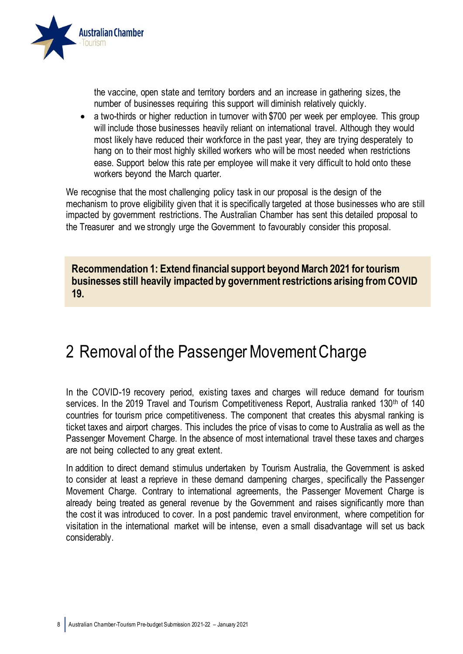

the vaccine, open state and territory borders and an increase in gathering sizes, the number of businesses requiring this support will diminish relatively quickly.

• a two-thirds or higher reduction in turnover with \$700 per week per employee. This group will include those businesses heavily reliant on international travel. Although they would most likely have reduced their workforce in the past year, they are trying desperately to hang on to their most highly skilled workers who will be most needed when restrictions ease. Support below this rate per employee will make it very difficult to hold onto these workers beyond the March quarter.

We recognise that the most challenging policy task in our proposal is the design of the mechanism to prove eligibility given that it is specifically targeted at those businesses who are still impacted by government restrictions. The Australian Chamber has sent this detailed proposal to the Treasurer and we strongly urge the Government to favourably consider this proposal.

**Recommendation 1: Extend financial support beyond March 2021 for tourism businesses still heavily impacted by government restrictions arising from COVID 19.**

#### <span id="page-7-0"></span>2 Removal of the Passenger Movement Charge

In the COVID-19 recovery period, existing taxes and charges will reduce demand for tourism services. In the 2019 Travel and Tourism Competitiveness Report, Australia ranked 130<sup>th</sup> of 140 countries for tourism price competitiveness. The component that creates this abysmal ranking is ticket taxes and airport charges. This includes the price of visas to come to Australia as well as the Passenger Movement Charge. In the absence of most international travel these taxes and charges are not being collected to any great extent.

In addition to direct demand stimulus undertaken by Tourism Australia, the Government is asked to consider at least a reprieve in these demand dampening charges, specifically the Passenger Movement Charge. Contrary to international agreements, the Passenger Movement Charge is already being treated as general revenue by the Government and raises significantly more than the cost it was introduced to cover. In a post pandemic travel environment, where competition for visitation in the international market will be intense, even a small disadvantage will set us back considerably.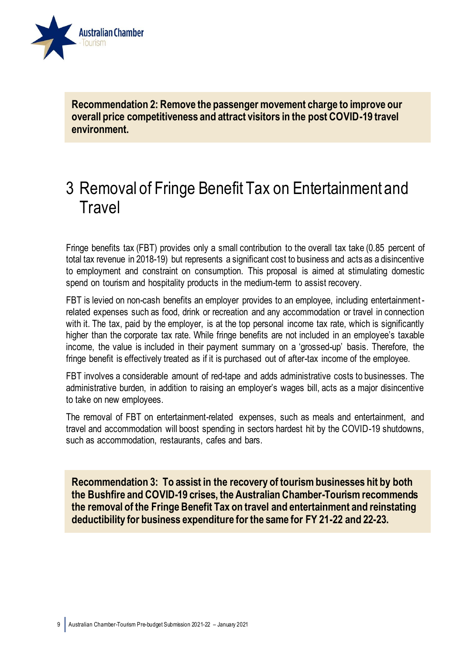

**Recommendation 2: Remove the passenger movement charge to improve our overall price competitiveness and attract visitors in the post COVID-19 travel environment.**

#### <span id="page-8-0"></span>3 Removal of Fringe Benefit Tax on Entertainment and **Travel**

Fringe benefits tax (FBT) provides only a small contribution to the overall tax take (0.85 percent of total tax revenue in 2018-19) but represents a significant cost to business and acts as a disincentive to employment and constraint on consumption. This proposal is aimed at stimulating domestic spend on tourism and hospitality products in the medium-term to assist recovery.

FBT is levied on non-cash benefits an employer provides to an employee, including entertainmentrelated expenses such as food, drink or recreation and any accommodation or travel in connection with it. The tax, paid by the employer, is at the top personal income tax rate, which is significantly higher than the corporate tax rate. While fringe benefits are not included in an employee's taxable income, the value is included in their payment summary on a 'grossed-up' basis. Therefore, the fringe benefit is effectively treated as if it is purchased out of after-tax income of the employee.

FBT involves a considerable amount of red-tape and adds administrative costs to businesses. The administrative burden, in addition to raising an employer's wages bill, acts as a major disincentive to take on new employees.

The removal of FBT on entertainment-related expenses, such as meals and entertainment, and travel and accommodation will boost spending in sectors hardest hit by the COVID-19 shutdowns, such as accommodation, restaurants, cafes and bars.

**Recommendation 3: To assist in the recovery of tourism businesses hit by both the Bushfire and COVID-19 crises, the Australian Chamber-Tourism recommends the removal of the Fringe Benefit Tax on travel and entertainment and reinstating deductibility for business expenditure for the same for FY 21-22 and 22-23.**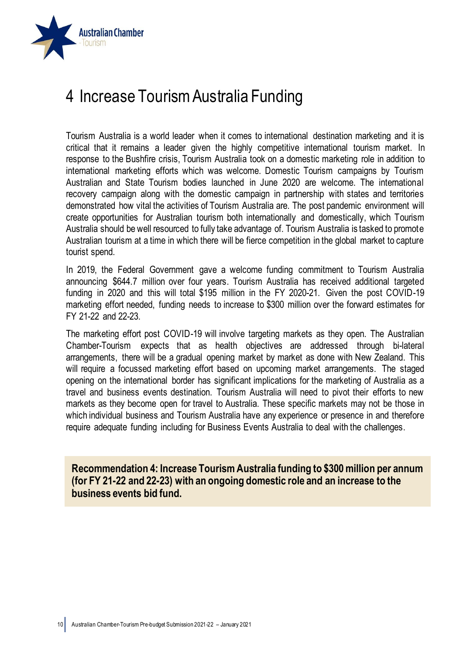

### <span id="page-9-0"></span>4 Increase Tourism Australia Funding

Tourism Australia is a world leader when it comes to international destination marketing and it is critical that it remains a leader given the highly competitive international tourism market. In response to the Bushfire crisis, Tourism Australia took on a domestic marketing role in addition to international marketing efforts which was welcome. Domestic Tourism campaigns by Tourism Australian and State Tourism bodies launched in June 2020 are welcome. The international recovery campaign along with the domestic campaign in partnership with states and territories demonstrated how vital the activities of Tourism Australia are. The post pandemic environment will create opportunities for Australian tourism both internationally and domestically, which Tourism Australia should be well resourced to fully take advantage of. Tourism Australia is tasked to promote Australian tourism at a time in which there will be fierce competition in the global market to capture tourist spend.

In 2019, the Federal Government gave a welcome funding commitment to Tourism Australia announcing \$644.7 million over four years. Tourism Australia has received additional targeted funding in 2020 and this will total \$195 million in the FY 2020-21. Given the post COVID-19 marketing effort needed, funding needs to increase to \$300 million over the forward estimates for FY 21-22 and 22-23.

The marketing effort post COVID-19 will involve targeting markets as they open. The Australian Chamber-Tourism expects that as health objectives are addressed through bi-lateral arrangements, there will be a gradual opening market by market as done with New Zealand. This will require a focussed marketing effort based on upcoming market arrangements. The staged opening on the international border has significant implications for the marketing of Australia as a travel and business events destination. Tourism Australia will need to pivot their efforts to new markets as they become open for travel to Australia. These specific markets may not be those in which individual business and Tourism Australia have any experience or presence in and therefore require adequate funding including for Business Events Australia to deal with the challenges.

**Recommendation 4: Increase Tourism Australia funding to \$300 million per annum (for FY 21-22 and 22-23) with an ongoing domestic role and an increase to the business events bid fund.**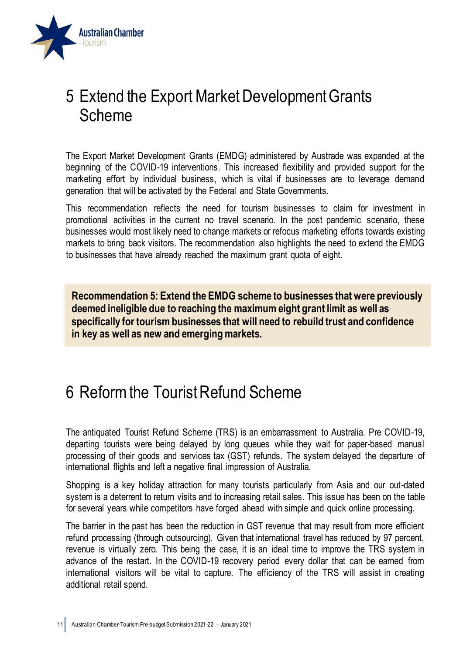

#### <span id="page-10-0"></span>5 Extend the Export Market Development Grants Scheme

The Export Market Development Grants (EMDG) administered by Austrade was expanded at the beginning of the COVID-19 interventions. This increased flexibility and provided support for the marketing effort by individual business, which is vital if businesses are to leverage demand generation that will be activated by the Federal and State Governments.

This recommendation reflects the need for tourism businesses to claim for investment in promotional activities in the current no travel scenario. In the post pandemic scenario, these businesses would most likely need to change markets or refocus marketing efforts towards existing markets to bring back visitors. The recommendation also highlights the need to extend the EMDG to businesses that have already reached the maximum grant quota of eight.

**Recommendation 5: Extend the EMDG scheme to businesses that were previously deemed ineligible due to reaching the maximum eight grant limit as well as specifically for tourism businesses that will need to rebuild trust and confidence in key as well as new and emerging markets.**

#### <span id="page-10-1"></span>6 Reform the Tourist Refund Scheme

The antiquated Tourist Refund Scheme (TRS) is an embarrassment to Australia. Pre COVID-19, departing tourists were being delayed by long queues while they wait for paper-based manual processing of their goods and services tax (GST) refunds. The system delayed the departure of international flights and left a negative final impression of Australia.

Shopping is a key holiday attraction for many tourists particularly from Asia and our out-dated system is a deterrent to return visits and to increasing retail sales. This issue has been on the table for several years while competitors have forged ahead with simple and quick online processing.

The barrier in the past has been the reduction in GST revenue that may result from more efficient refund processing (through outsourcing). Given that international travel has reduced by 97 percent, revenue is virtually zero. This being the case, it is an ideal time to improve the TRS system in advance of the restart. In the COVID-19 recovery period every dollar that can be earned from international visitors will be vital to capture. The efficiency of the TRS will assist in creating additional retail spend.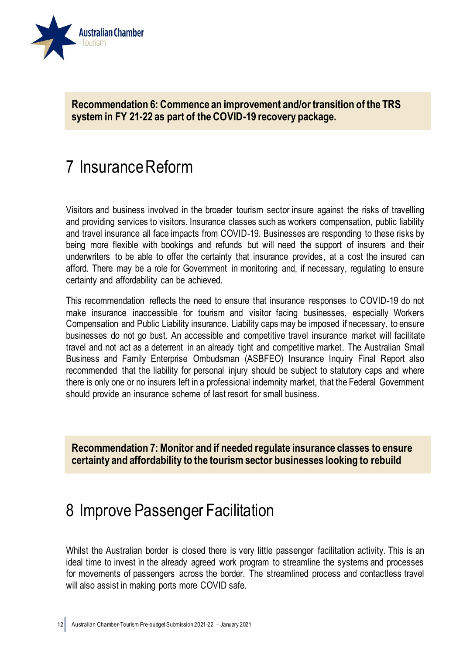

**Recommendation 6: Commence an improvement and/or transition of the TRS system in FY 21-22 as part of the COVID-19 recovery package.**

#### <span id="page-11-0"></span>7 Insurance Reform

Visitors and business involved in the broader tourism sector insure against the risks of travelling and providing services to visitors. Insurance classes such as workers compensation, public liability and travel insurance all face impacts from COVID-19. Businesses are responding to these risks by being more flexible with bookings and refunds but will need the support of insurers and their underwriters to be able to offer the certainty that insurance provides, at a cost the insured can afford. There may be a role for Government in monitoring and, if necessary, regulating to ensure certainty and affordability can be achieved.

This recommendation reflects the need to ensure that insurance responses to COVID-19 do not make insurance inaccessible for tourism and visitor facing businesses, especially Workers Compensation and Public Liability insurance. Liability caps may be imposed if necessary, to ensure businesses do not go bust. An accessible and competitive travel insurance market will facilitate travel and not act as a deterrent in an already tight and competitive market. The Australian Small Business and Family Enterprise Ombudsman (ASBFEO) Insurance Inquiry Final Report also recommended that the liability for personal injury should be subject to statutory caps and where there is only one or no insurers left in a professional indemnity market, that the Federal Government should provide an insurance scheme of last resort for small business.

**Recommendation 7: Monitor and if needed regulate insurance classes to ensure certainty and affordability to the tourism sector businesses looking to rebuild**

#### <span id="page-11-1"></span>8 Improve Passenger Facilitation

Whilst the Australian border is closed there is very little passenger facilitation activity. This is an ideal time to invest in the already agreed work program to streamline the systems and processes for movements of passengers across the border. The streamlined process and contactless travel will also assist in making ports more COVID safe.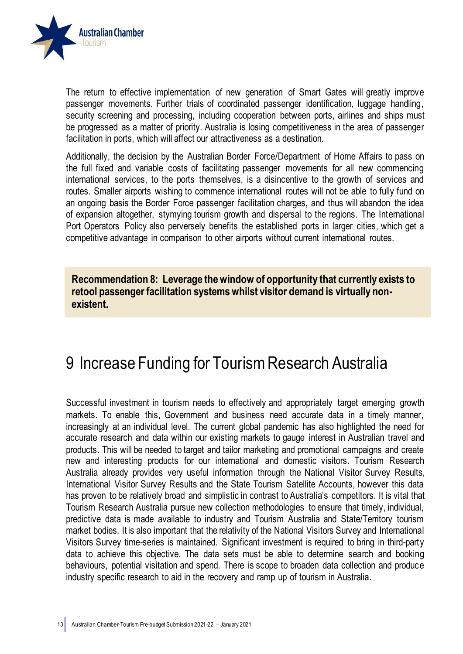

The return to effective implementation of new generation of Smart Gates will greatly improve passenger movements. Further trials of coordinated passenger identification, luggage handling, security screening and processing, including cooperation between ports, airlines and ships must be progressed as a matter of priority. Australia is losing competitiveness in the area of passenger facilitation in ports, which will affect our attractiveness as a destination.

Additionally, the decision by the Australian Border Force/Department of Home Affairs to pass on the full fixed and variable costs of facilitating passenger movements for all new commencing international services, to the ports themselves, is a disincentive to the growth of services and routes. Smaller airports wishing to commence international routes will not be able to fully fund on an ongoing basis the Border Force passenger facilitation charges, and thus will abandon the idea of expansion altogether, stymying tourism growth and dispersal to the regions. The International Port Operators Policy also perversely benefits the established ports in larger cities, which get a competitive advantage in comparison to other airports without current international routes.

**Recommendation 8: Leverage the window of opportunity that currently exists to retool passenger facilitation systems whilst visitor demand is virtually nonexistent.**

#### <span id="page-12-0"></span>9 Increase Funding for Tourism Research Australia

Successful investment in tourism needs to effectively and appropriately target emerging growth markets. To enable this, Government and business need accurate data in a timely manner, increasingly at an individual level. The current global pandemic has also highlighted the need for accurate research and data within our existing markets to gauge interest in Australian travel and products. This will be needed to target and tailor marketing and promotional campaigns and create new and interesting products for our international and domestic visitors. Tourism Research Australia already provides very useful information through the National Visitor Survey Results, International Visitor Survey Results and the State Tourism Satellite Accounts, however this data has proven to be relatively broad and simplistic in contrast to Australia's competitors. It is vital that Tourism Research Australia pursue new collection methodologies to ensure that timely, individual, predictive data is made available to industry and Tourism Australia and State/Territory tourism market bodies. It is also important that the relativity of the National Visitors Survey and International Visitors Survey time-series is maintained. Significant investment is required to bring in third-party data to achieve this objective. The data sets must be able to determine search and booking behaviours, potential visitation and spend. There is scope to broaden data collection and produce industry specific research to aid in the recovery and ramp up of tourism in Australia.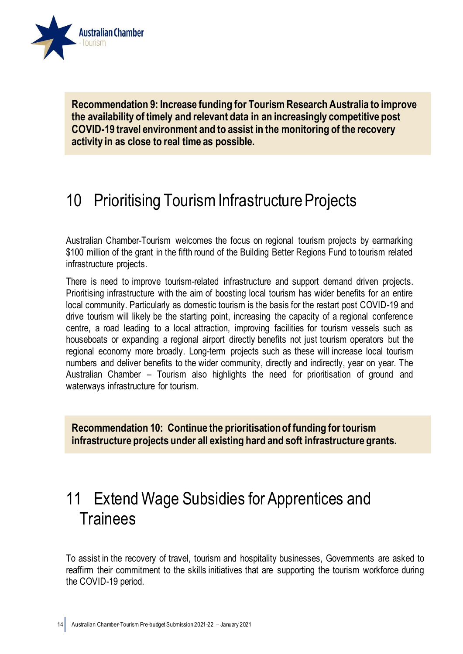

**Recommendation 9: Increase funding for Tourism Research Australia to improve the availability of timely and relevant data in an increasingly competitive post COVID-19 travel environment and to assist in the monitoring of the recovery activity in as close to real time as possible.**

### <span id="page-13-0"></span>10 Prioritising Tourism Infrastructure Projects

Australian Chamber-Tourism welcomes the focus on regional tourism projects by earmarking \$100 million of the grant in the fifth round of the Building Better Regions Fund to tourism related infrastructure projects.

There is need to improve tourism-related infrastructure and support demand driven projects. Prioritising infrastructure with the aim of boosting local tourism has wider benefits for an entire local community. Particularly as domestic tourism is the basis for the restart post COVID-19 and drive tourism will likely be the starting point, increasing the capacity of a regional conference centre, a road leading to a local attraction, improving facilities for tourism vessels such as houseboats or expanding a regional airport directly benefits not just tourism operators but the regional economy more broadly. Long-term projects such as these will increase local tourism numbers and deliver benefits to the wider community, directly and indirectly, year on year. The Australian Chamber – Tourism also highlights the need for prioritisation of ground and waterways infrastructure for tourism.

**Recommendation 10: Continue the prioritisation of funding for tourism infrastructure projects under all existing hard and soft infrastructure grants.**

#### <span id="page-13-1"></span>11 Extend Wage Subsidies for Apprentices and **Trainees**

To assist in the recovery of travel, tourism and hospitality businesses, Governments are asked to reaffirm their commitment to the skills initiatives that are supporting the tourism workforce during the COVID-19 period.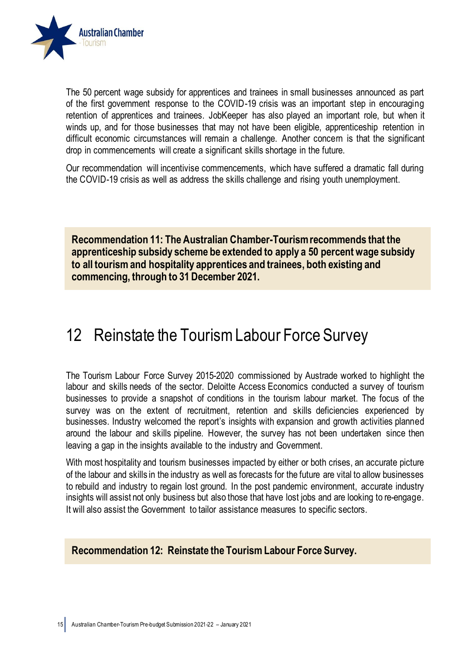

The 50 percent wage subsidy for apprentices and trainees in small businesses announced as part of the first government response to the COVID-19 crisis was an important step in encouraging retention of apprentices and trainees. JobKeeper has also played an important role, but when it winds up, and for those businesses that may not have been eligible, apprenticeship retention in difficult economic circumstances will remain a challenge. Another concern is that the significant drop in commencements will create a significant skills shortage in the future.

Our recommendation will incentivise commencements, which have suffered a dramatic fall during the COVID-19 crisis as well as address the skills challenge and rising youth unemployment.

**Recommendation 11: The Australian Chamber-Tourism recommends that the apprenticeship subsidy scheme be extended to apply a 50 percent wage subsidy to all tourism and hospitality apprentices and trainees, both existing and commencing, through to 31 December 2021.**

#### <span id="page-14-0"></span>12 Reinstate the Tourism Labour Force Survey

The Tourism Labour Force Survey 2015-2020 commissioned by Austrade worked to highlight the labour and skills needs of the sector. Deloitte Access Economics conducted a survey of tourism businesses to provide a snapshot of conditions in the tourism labour market. The focus of the survey was on the extent of recruitment, retention and skills deficiencies experienced by businesses. Industry welcomed the report's insights with expansion and growth activities planned around the labour and skills pipeline. However, the survey has not been undertaken since then leaving a gap in the insights available to the industry and Government.

With most hospitality and tourism businesses impacted by either or both crises, an accurate picture of the labour and skills in the industry as well as forecasts for the future are vital to allow businesses to rebuild and industry to regain lost ground. In the post pandemic environment, accurate industry insights will assist not only business but also those that have lost jobs and are looking to re-engage. It will also assist the Government to tailor assistance measures to specific sectors.

#### **Recommendation 12: Reinstate the Tourism Labour Force Survey.**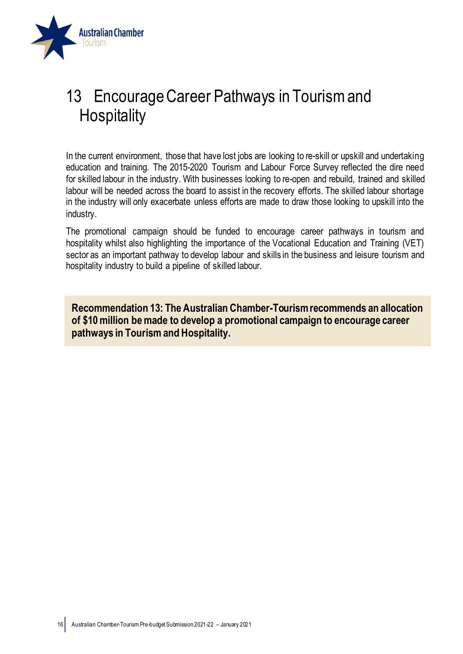

### <span id="page-15-0"></span>13 Encourage Career Pathways in Tourism and **Hospitality**

In the current environment, those that have lost jobs are looking to re-skill or upskill and undertaking education and training. The 2015-2020 Tourism and Labour Force Survey reflected the dire need for skilled labour in the industry. With businesses looking to re-open and rebuild, trained and skilled labour will be needed across the board to assist in the recovery efforts. The skilled labour shortage in the industry will only exacerbate unless efforts are made to draw those looking to upskill into the industry.

The promotional campaign should be funded to encourage career pathways in tourism and hospitality whilst also highlighting the importance of the Vocational Education and Training (VET) sector as an important pathway to develop labour and skills in the business and leisure tourism and hospitality industry to build a pipeline of skilled labour.

**Recommendation 13: The Australian Chamber-Tourism recommends an allocation of \$10 million be made to develop a promotional campaign to encourage career pathways in Tourism and Hospitality.**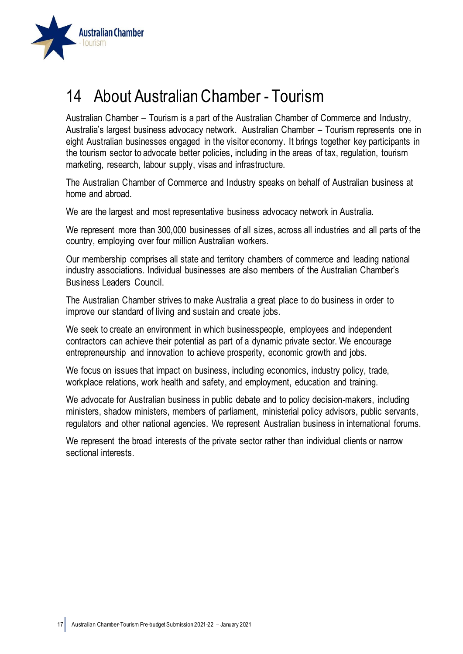

### <span id="page-16-0"></span>14 About Australian Chamber - Tourism

Australian Chamber – Tourism is a part of the Australian Chamber of Commerce and Industry, Australia's largest business advocacy network. Australian Chamber – Tourism represents one in eight Australian businesses engaged in the visitor economy. It brings together key participants in the tourism sector to advocate better policies, including in the areas of tax, regulation, tourism marketing, research, labour supply, visas and infrastructure.

The Australian Chamber of Commerce and Industry speaks on behalf of Australian business at home and abroad.

We are the largest and most representative business advocacy network in Australia.

We represent more than 300,000 businesses of all sizes, across all industries and all parts of the country, employing over four million Australian workers.

Our membership comprises all state and territory chambers of commerce and leading national industry associations. Individual businesses are also members of the Australian Chamber's Business Leaders Council.

The Australian Chamber strives to make Australia a great place to do business in order to improve our standard of living and sustain and create jobs.

We seek to create an environment in which businesspeople, employees and independent contractors can achieve their potential as part of a dynamic private sector. We encourage entrepreneurship and innovation to achieve prosperity, economic growth and jobs.

We focus on issues that impact on business, including economics, industry policy, trade, workplace relations, work health and safety, and employment, education and training.

We advocate for Australian business in public debate and to policy decision-makers, including ministers, shadow ministers, members of parliament, ministerial policy advisors, public servants, regulators and other national agencies. We represent Australian business in international forums.

We represent the broad interests of the private sector rather than individual clients or narrow sectional interests.